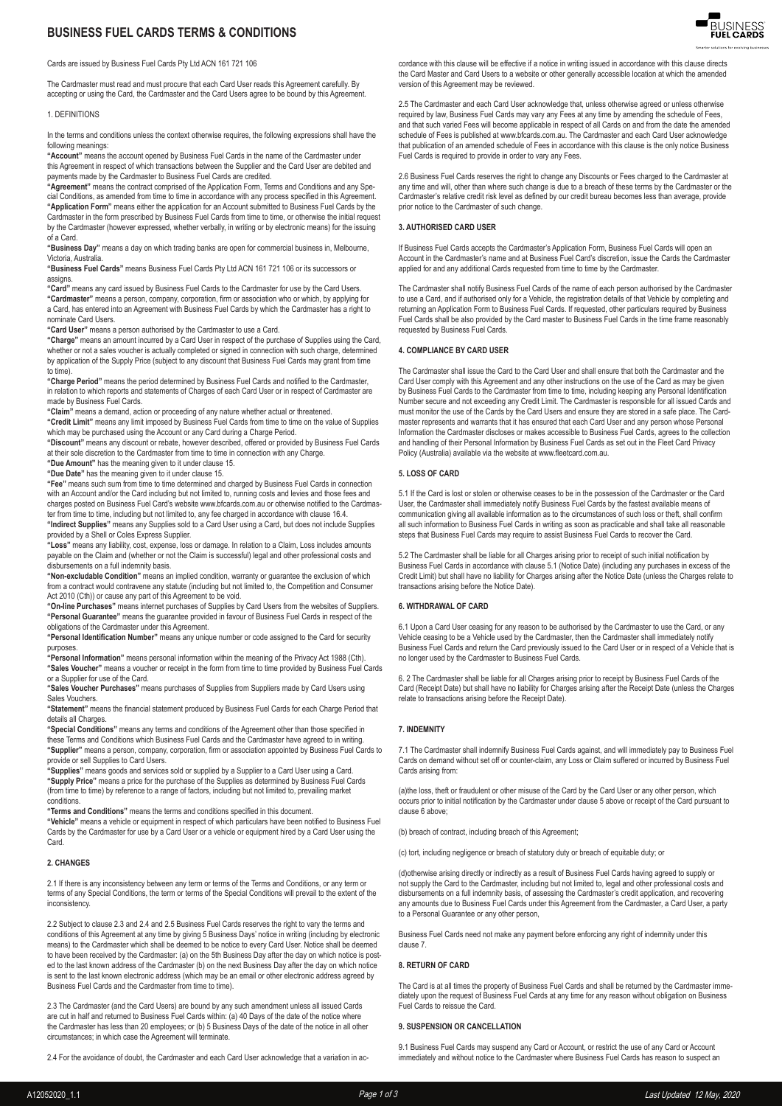# **BUSINESS FUEL CARDS TERMS & CONDITIONS**



The Cardmaster must read and must procure that each Card User reads this Agreement carefully. By accepting or using the Card, the Cardmaster and the Card Users agree to be bound by this Agreement.

1. DEFINITIONS

In the terms and conditions unless the context otherwise requires, the following expressions shall have the following meanings:

**"Account"** means the account opened by Business Fuel Cards in the name of the Cardmaster under this Agreement in respect of which transactions between the Supplier and the Card User are debited and payments made by the Cardmaster to Business Fuel Cards are credited.

**"Agreement"** means the contract comprised of the Application Form, Terms and Conditions and any Special Conditions, as amended from time to time in accordance with any process specified in this Agreement. **"Application Form"** means either the application for an Account submitted to Business Fuel Cards by the Cardmaster in the form prescribed by Business Fuel Cards from time to time, or otherwise the initial request by the Cardmaster (however expressed, whether verbally, in writing or by electronic means) for the issuing of a Card.

**"Business Day"** means a day on which trading banks are open for commercial business in, Melbourne, Victoria, Australia.

**"Business Fuel Cards"** means Business Fuel Cards Pty Ltd ACN 161 721 106 or its successors or assigns.

**"Card"** means any card issued by Business Fuel Cards to the Cardmaster for use by the Card Users. **"Cardmaster"** means a person, company, corporation, firm or association who or which, by applying for a Card, has entered into an Agreement with Business Fuel Cards by which the Cardmaster has a right to nominate Card Users.

**"Card User"** means a person authorised by the Cardmaster to use a Card.

**"Charge"** means an amount incurred by a Card User in respect of the purchase of Supplies using the Card, whether or not a sales voucher is actually completed or signed in connection with such charge, determined by application of the Supply Price (subject to any discount that Business Fuel Cards may grant from time to time).

**"Charge Period"** means the period determined by Business Fuel Cards and notified to the Cardmaster, in relation to which reports and statements of Charges of each Card User or in respect of Cardmaster are made by Business Fuel Cards.

**"Claim"** means a demand, action or proceeding of any nature whether actual or threatened. **"Credit Limit"** means any limit imposed by Business Fuel Cards from time to time on the value of Supplies which may be purchased using the Account or any Card during a Charge Period.

**"Discount"** means any discount or rebate, however described, offered or provided by Business Fuel Cards at their sole discretion to the Cardmaster from time to time in connection with any Charge.

**"Due Amount"** has the meaning given to it under clause 15.

**"Due Date"** has the meaning given to it under clause 15. **"Fee"** means such sum from time to time determined and charged by Business Fuel Cards in connection with an Account and/or the Card including but not limited to, running costs and levies and those fees and charges posted on Business Fuel Card's website www.bfcards.com.au or otherwise notified to the Cardmaster from time to time, including but not limited to, any fee charged in accordance with clause 16.4. **"Indirect Supplies"** means any Supplies sold to a Card User using a Card, but does not include Supplies

provided by a Shell or Coles Express Supplier. **"Loss"** means any liability, cost, expense, loss or damage. In relation to a Claim, Loss includes amounts

payable on the Claim and (whether or not the Claim is successful) legal and other professional costs and disbursements on a full indemnity basis.

**"Non-excludable Condition"** means an implied condition, warranty or guarantee the exclusion of which from a contract would contravene any statute (including but not limited to, the Competition and Consumer Act 2010 (Cth)) or cause any part of this Agreement to be void.

**"On-line Purchases"** means internet purchases of Supplies by Card Users from the websites of Suppliers. **"Personal Guarantee"** means the guarantee provided in favour of Business Fuel Cards in respect of the obligations of the Cardmaster under this Agreement.

**"Personal Identification Number"** means any unique number or code assigned to the Card for security purposes

**"Personal Information"** means personal information within the meaning of the Privacy Act 1988 (Cth). **"Sales Voucher"** means a voucher or receipt in the form from time to time provided by Business Fuel Cards or a Supplier for use of the Card.

**"Sales Voucher Purchases"** means purchases of Supplies from Suppliers made by Card Users using Sales Vouchers.

**"Statement"** means the financial statement produced by Business Fuel Cards for each Charge Period that details all Charges.

**"Special Conditions"** means any terms and conditions of the Agreement other than those specified in these Terms and Conditions which Business Fuel Cards and the Cardmaster have agreed to in writing. **"Supplier"** means a person, company, corporation, firm or association appointed by Business Fuel Cards to provide or sell Supplies to Card Users.

**"Supplies"** means goods and services sold or supplied by a Supplier to a Card User using a Card. **"Supply Price"** means a price for the purchase of the Supplies as determined by Business Fuel Cards (from time to time) by reference to a range of factors, including but not limited to, prevailing market conditions.

**"Terms and Conditions"** means the terms and conditions specified in this document.

**"Vehicle"** means a vehicle or equipment in respect of which particulars have been notified to Business Fuel Cards by the Cardmaster for use by a Card User or a vehicle or equipment hired by a Card User using the Card.

# **2. CHANGES**

2.1 If there is any inconsistency between any term or terms of the Terms and Conditions, or any term or terms of any Special Conditions, the term or terms of the Special Conditions will prevail to the extent of the inconsistency.

2.2 Subject to clause 2.3 and 2.4 and 2.5 Business Fuel Cards reserves the right to vary the terms and conditions of this Agreement at any time by giving 5 Business Days' notice in writing (including by electronic means) to the Cardmaster which shall be deemed to be notice to every Card User. Notice shall be deemed to have been received by the Cardmaster: (a) on the 5th Business Day after the day on which notice is posted to the last known address of the Cardmaster (b) on the next Business Day after the day on which notice is sent to the last known electronic address (which may be an email or other electronic address agreed by Business Fuel Cards and the Cardmaster from time to time).

2.3 The Cardmaster (and the Card Users) are bound by any such amendment unless all issued Cards are cut in half and returned to Business Fuel Cards within: (a) 40 Days of the date of the notice where the Cardmaster has less than 20 employees; or (b) 5 Business Days of the date of the notice in all other circumstances; in which case the Agreement will terminate.

2.4 For the avoidance of doubt, the Cardmaster and each Card User acknowledge that a variation in ac-



cordance with this clause will be effective if a notice in writing issued in accordance with this clause directs the Card Master and Card Users to a website or other generally accessible location at which the amended version of this Agreement may be reviewed.

2.5 The Cardmaster and each Card User acknowledge that, unless otherwise agreed or unless otherwise required by law, Business Fuel Cards may vary any Fees at any time by amending the schedule of Fees, and that such varied Fees will become applicable in respect of all Cards on and from the date the amended schedule of Fees is published at www.bfcards.com.au. The Cardmaster and each Card User acknowledge that publication of an amended schedule of Fees in accordance with this clause is the only notice Business Fuel Cards is required to provide in order to vary any Fees.

2.6 Business Fuel Cards reserves the right to change any Discounts or Fees charged to the Cardmaster at any time and will, other than where such change is due to a breach of these terms by the Cardmaster or the Cardmaster's relative credit risk level as defined by our credit bureau becomes less than average, provide prior notice to the Cardmaster of such change.

#### **3. AUTHORISED CARD USER**

If Business Fuel Cards accepts the Cardmaster's Application Form, Business Fuel Cards will open an Account in the Cardmaster's name and at Business Fuel Card's discretion, issue the Cards the Cardmaster applied for and any additional Cards requested from time to time by the Cardmaster.

The Cardmaster shall notify Business Fuel Cards of the name of each person authorised by the Cardmaster to use a Card, and if authorised only for a Vehicle, the registration details of that Vehicle by completing and returning an Application Form to Business Fuel Cards. If requested, other particulars required by Business Fuel Cards shall be also provided by the Card master to Business Fuel Cards in the time frame reasonably requested by Business Fuel Cards.

### **4. COMPLIANCE BY CARD USER**

The Cardmaster shall issue the Card to the Card User and shall ensure that both the Cardmaster and the Card User comply with this Agreement and any other instructions on the use of the Card as may be given by Business Fuel Cards to the Cardmaster from time to time, including keeping any Personal Identification Number secure and not exceeding any Credit Limit. The Cardmaster is responsible for all issued Cards and must monitor the use of the Cards by the Card Users and ensure they are stored in a safe place. The Cardmaster represents and warrants that it has ensured that each Card User and any person whose Personal Information the Cardmaster discloses or makes accessible to Business Fuel Cards, agrees to the collection and handling of their Personal Information by Business Fuel Cards as set out in the Fleet Card Privacy Policy (Australia) available via the website at www.fleetcard.com.au.

#### **5. LOSS OF CARD**

5.1 If the Card is lost or stolen or otherwise ceases to be in the possession of the Cardmaster or the Card User, the Cardmaster shall immediately notify Business Fuel Cards by the fastest available means of communication giving all available information as to the circumstances of such loss or theft, shall confirm all such information to Business Fuel Cards in writing as soon as practicable and shall take all reasonable steps that Business Fuel Cards may require to assist Business Fuel Cards to recover the Card.

5.2 The Cardmaster shall be liable for all Charges arising prior to receipt of such initial notification by Business Fuel Cards in accordance with clause 5.1 (Notice Date) (including any purchases in excess of the Credit Limit) but shall have no liability for Charges arising after the Notice Date (unless the Charges relate to transactions arising before the Notice Date).

#### **6. WITHDRAWAL OF CARD**

6.1 Upon a Card User ceasing for any reason to be authorised by the Cardmaster to use the Card, or any Vehicle ceasing to be a Vehicle used by the Cardmaster, then the Cardmaster shall immediately notify Business Fuel Cards and return the Card previously issued to the Card User or in respect of a Vehicle that is no longer used by the Cardmaster to Business Fuel Cards.

6. 2 The Cardmaster shall be liable for all Charges arising prior to receipt by Business Fuel Cards of the Card (Receipt Date) but shall have no liability for Charges arising after the Receipt Date (unless the Charges relate to transactions arising before the Receipt Date).

# **7. INDEMNITY**

7.1 The Cardmaster shall indemnify Business Fuel Cards against, and will immediately pay to Business Fuel Cards on demand without set off or counter-claim, any Loss or Claim suffered or incurred by Business Fuel Cards arising from:

(a)the loss, theft or fraudulent or other misuse of the Card by the Card User or any other person, which occurs prior to initial notification by the Cardmaster under clause 5 above or receipt of the Card pursuant to clause 6 above;

(b) breach of contract, including breach of this Agreement;

(c) tort, including negligence or breach of statutory duty or breach of equitable duty; or

(d)otherwise arising directly or indirectly as a result of Business Fuel Cards having agreed to supply or not supply the Card to the Cardmaster, including but not limited to, legal and other professional costs and disbursements on a full indemnity basis, of assessing the Cardmaster's credit application, and recovering any amounts due to Business Fuel Cards under this Agreement from the Cardmaster, a Card User, a party to a Personal Guarantee or any other person

Business Fuel Cards need not make any payment before enforcing any right of indemnity under this clause 7.

#### **8. RETURN OF CARD**

The Card is at all times the property of Business Fuel Cards and shall be returned by the Cardmaster immediately upon the request of Business Fuel Cards at any time for any reason without obligation on Business Fuel Cards to reissue the Card.

#### **9. SUSPENSION OR CANCELLATION**

9.1 Business Fuel Cards may suspend any Card or Account, or restrict the use of any Card or Account immediately and without notice to the Cardmaster where Business Fuel Cards has reason to suspect an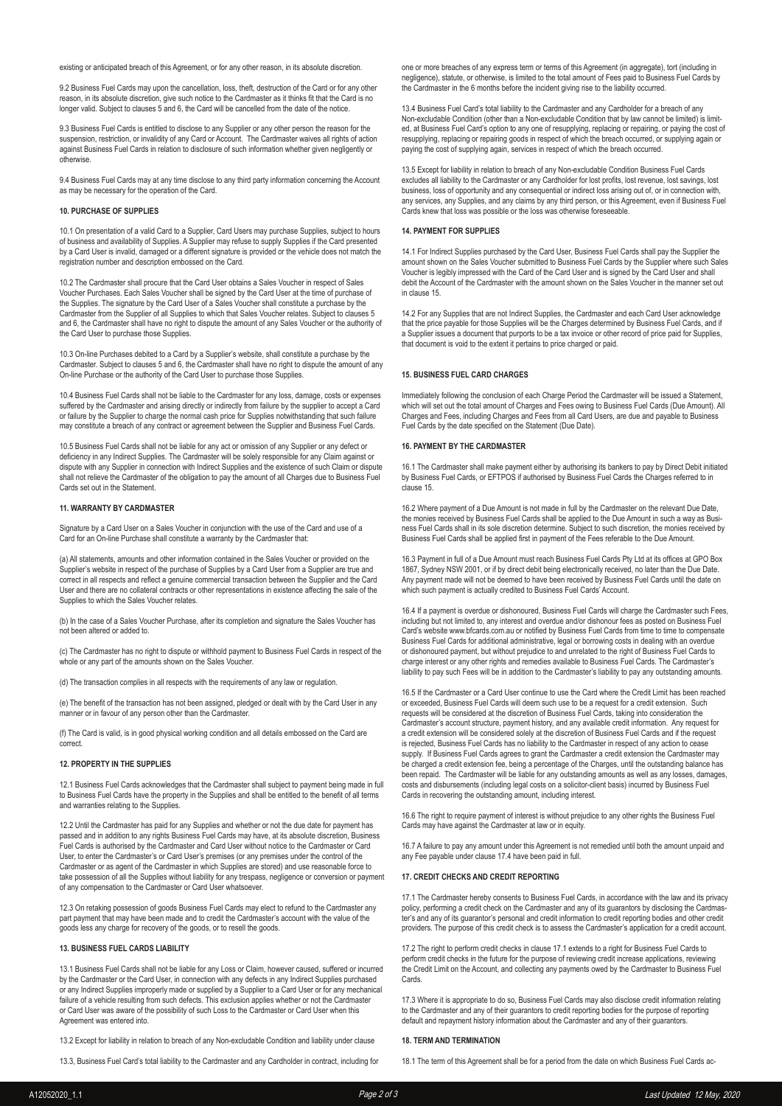existing or anticipated breach of this Agreement, or for any other reason, in its absolute discretion.

9.2 Business Fuel Cards may upon the cancellation, loss, theft, destruction of the Card or for any other reason, in its absolute discretion, give such notice to the Cardmaster as it thinks fit that the Card is no longer valid. Subject to clauses 5 and 6, the Card will be cancelled from the date of the notice.

9.3 Business Fuel Cards is entitled to disclose to any Supplier or any other person the reason for the suspension, restriction, or invalidity of any Card or Account. The Cardmaster waives all rights of action against Business Fuel Cards in relation to disclosure of such information whether given negligently or otherwise.

9.4 Business Fuel Cards may at any time disclose to any third party information concerning the Account as may be necessary for the operation of the Card.

# **10. PURCHASE OF SUPPLIES**

10.1 On presentation of a valid Card to a Supplier, Card Users may purchase Supplies, subject to hours of business and availability of Supplies. A Supplier may refuse to supply Supplies if the Card presented by a Card User is invalid, damaged or a different signature is provided or the vehicle does not match the registration number and description embossed on the Card.

10.2 The Cardmaster shall procure that the Card User obtains a Sales Voucher in respect of Sales Voucher Purchases. Each Sales Voucher shall be signed by the Card User at the time of purchase of the Supplies. The signature by the Card User of a Sales Voucher shall constitute a purchase by the Cardmaster from the Supplier of all Supplies to which that Sales Voucher relates. Subject to clauses 5 and 6, the Cardmaster shall have no right to dispute the amount of any Sales Voucher or the authority of the Card User to purchase those Supplies.

10.3 On-line Purchases debited to a Card by a Supplier's website, shall constitute a purchase by the Cardmaster. Subject to clauses 5 and 6, the Cardmaster shall have no right to dispute the amount of any On-line Purchase or the authority of the Card User to purchase those Supplies.

10.4 Business Fuel Cards shall not be liable to the Cardmaster for any loss, damage, costs or expenses suffered by the Cardmaster and arising directly or indirectly from failure by the supplier to accept a Card or failure by the Supplier to charge the normal cash price for Supplies notwithstanding that such failure may constitute a breach of any contract or agreement between the Supplier and Business Fuel Cards.

10.5 Business Fuel Cards shall not be liable for any act or omission of any Supplier or any defect or deficiency in any Indirect Supplies. The Cardmaster will be solely responsible for any Claim against or dispute with any Supplier in connection with Indirect Supplies and the existence of such Claim or dispute shall not relieve the Cardmaster of the obligation to pay the amount of all Charges due to Business Fuel Cards set out in the Statement.

# **11. WARRANTY BY CARDMASTER**

Signature by a Card User on a Sales Voucher in conjunction with the use of the Card and use of a Card for an On-line Purchase shall constitute a warranty by the Cardmaster that:

(a) All statements, amounts and other information contained in the Sales Voucher or provided on the Supplier's website in respect of the purchase of Supplies by a Card User from a Supplier are true and correct in all respects and reflect a genuine commercial transaction between the Supplier and the Card User and there are no collateral contracts or other representations in existence affecting the sale of the Supplies to which the Sales Voucher relates.

(b) In the case of a Sales Voucher Purchase, after its completion and signature the Sales Voucher has not been altered or added to.

(c) The Cardmaster has no right to dispute or withhold payment to Business Fuel Cards in respect of the whole or any part of the amounts shown on the Sales Voucher.

(d) The transaction complies in all respects with the requirements of any law or regulation.

(e) The benefit of the transaction has not been assigned, pledged or dealt with by the Card User in any manner or in favour of any person other than the Cardmaster.

(f) The Card is valid, is in good physical working condition and all details embossed on the Card are correct.

### **12. PROPERTY IN THE SUPPLIES**

12.1 Business Fuel Cards acknowledges that the Cardmaster shall subject to payment being made in full to Business Fuel Cards have the property in the Supplies and shall be entitled to the benefit of all terms and warranties relating to the Supplies.

12.2 Until the Cardmaster has paid for any Supplies and whether or not the due date for payment has passed and in addition to any rights Business Fuel Cards may have, at its absolute discretion, Business Fuel Cards is authorised by the Cardmaster and Card User without notice to the Cardmaster or Card User, to enter the Cardmaster's or Card User's premises (or any premises under the control of the Cardmaster or as agent of the Cardmaster in which Supplies are stored) and use reasonable force to take possession of all the Supplies without liability for any trespass, negligence or conversion or payment of any compensation to the Cardmaster or Card User whatsoever.

12.3 On retaking possession of goods Business Fuel Cards may elect to refund to the Cardmaster any part payment that may have been made and to credit the Cardmaster's account with the value of the goods less any charge for recovery of the goods, or to resell the goods.

# **13. BUSINESS FUEL CARDS LIABILITY**

13.1 Business Fuel Cards shall not be liable for any Loss or Claim, however caused, suffered or incurred by the Cardmaster or the Card User, in connection with any defects in any Indirect Supplies purchased or any Indirect Supplies improperly made or supplied by a Supplier to a Card User or for any mechanical failure of a vehicle resulting from such defects. This exclusion applies whether or not the Cardmaster or Card User was aware of the possibility of such Loss to the Cardmaster or Card User when this Agreement was entered into.

13.2 Except for liability in relation to breach of any Non-excludable Condition and liability under clause

13.3, Business Fuel Card's total liability to the Cardmaster and any Cardholder in contract, including for

one or more breaches of any express term or terms of this Agreement (in aggregate), tort (including in negligence), statute, or otherwise, is limited to the total amount of Fees paid to Business Fuel Cards by the Cardmaster in the 6 months before the incident giving rise to the liability occurred.

13.4 Business Fuel Card's total liability to the Cardmaster and any Cardholder for a breach of any Non-excludable Condition (other than a Non-excludable Condition that by law cannot be limited) is limited, at Business Fuel Card's option to any one of resupplying, replacing or repairing, or paying the cost of resupplying, replacing or repairing goods in respect of which the breach occurred, or supplying again or paying the cost of supplying again, services in respect of which the breach occurred.

13.5 Except for liability in relation to breach of any Non-excludable Condition Business Fuel Cards excludes all liability to the Cardmaster or any Cardholder for lost profits, lost revenue, lost savings, lost business, loss of opportunity and any consequential or indirect loss arising out of, or in connection with, any services, any Supplies, and any claims by any third person, or this Agreement, even if Business Fuel Cards knew that loss was possible or the loss was otherwise foreseeable.

### **14. PAYMENT FOR SUPPLIES**

14.1 For Indirect Supplies purchased by the Card User, Business Fuel Cards shall pay the Supplier the amount shown on the Sales Voucher submitted to Business Fuel Cards by the Supplier where such Sales Voucher is legibly impressed with the Card of the Card User and is signed by the Card User and shall debit the Account of the Cardmaster with the amount shown on the Sales Voucher in the manner set out in clause 15.

14.2 For any Supplies that are not Indirect Supplies, the Cardmaster and each Card User acknowledge that the price payable for those Supplies will be the Charges determined by Business Fuel Cards, and if a Supplier issues a document that purports to be a tax invoice or other record of price paid for Supplies, that document is void to the extent it pertains to price charged or paid.

#### **15. BUSINESS FUEL CARD CHARGES**

Immediately following the conclusion of each Charge Period the Cardmaster will be issued a Statement, which will set out the total amount of Charges and Fees owing to Business Fuel Cards (Due Amount). All Charges and Fees, including Charges and Fees from all Card Users, are due and payable to Business Fuel Cards by the date specified on the Statement (Due Date).

### **16. PAYMENT BY THE CARDMASTER**

16.1 The Cardmaster shall make payment either by authorising its bankers to pay by Direct Debit initiated by Business Fuel Cards, or EFTPOS if authorised by Business Fuel Cards the Charges referred to in clause 15.

16.2 Where payment of a Due Amount is not made in full by the Cardmaster on the relevant Due Date, the monies received by Business Fuel Cards shall be applied to the Due Amount in such a way as Business Fuel Cards shall in its sole discretion determine. Subject to such discretion, the monies received by Business Fuel Cards shall be applied first in payment of the Fees referable to the Due Amount.

16.3 Payment in full of a Due Amount must reach Business Fuel Cards Pty Ltd at its offices at GPO Box 1867, Sydney NSW 2001, or if by direct debit being electronically received, no later than the Due Date. Any payment made will not be deemed to have been received by Business Fuel Cards until the date on which such payment is actually credited to Business Fuel Cards' Account.

16.4 If a payment is overdue or dishonoured, Business Fuel Cards will charge the Cardmaster such Fees, including but not limited to, any interest and overdue and/or dishonour fees as posted on Business Fuel Card's website www.bfcards.com.au or notified by Business Fuel Cards from time to time to compensate Business Fuel Cards for additional administrative, legal or borrowing costs in dealing with an overdue or dishonoured payment, but without prejudice to and unrelated to the right of Business Fuel Cards to charge interest or any other rights and remedies available to Business Fuel Cards. The Cardmaster's liability to pay such Fees will be in addition to the Cardmaster's liability to pay any outstanding amounts.

16.5 If the Cardmaster or a Card User continue to use the Card where the Credit Limit has been reached or exceeded, Business Fuel Cards will deem such use to be a request for a credit extension. Such requests will be considered at the discretion of Business Fuel Cards, taking into consideration the Cardmaster's account structure, payment history, and any available credit information. Any request for a credit extension will be considered solely at the discretion of Business Fuel Cards and if the request is rejected, Business Fuel Cards has no liability to the Cardmaster in respect of any action to cease supply. If Business Fuel Cards agrees to grant the Cardmaster a credit extension the Cardmaster may be charged a credit extension fee, being a percentage of the Charges, until the outstanding balance has been repaid. The Cardmaster will be liable for any outstanding amounts as well as any losses, damages, costs and disbursements (including legal costs on a solicitor-client basis) incurred by Business Fuel Cards in recovering the outstanding amount, including interest.

16.6 The right to require payment of interest is without prejudice to any other rights the Business Fuel Cards may have against the Cardmaster at law or in equity.

16.7 A failure to pay any amount under this Agreement is not remedied until both the amount unpaid and any Fee payable under clause 17.4 have been paid in full.

### **17. CREDIT CHECKS AND CREDIT REPORTING**

17.1 The Cardmaster hereby consents to Business Fuel Cards, in accordance with the law and its privacy policy, performing a credit check on the Cardmaster and any of its guarantors by disclosing the Cardmaster's and any of its guarantor's personal and credit information to credit reporting bodies and other credit providers. The purpose of this credit check is to assess the Cardmaster's application for a credit account.

17.2 The right to perform credit checks in clause 17.1 extends to a right for Business Fuel Cards to perform credit checks in the future for the purpose of reviewing credit increase applications, reviewing the Credit Limit on the Account, and collecting any payments owed by the Cardmaster to Business Fuel **Cards** 

17.3 Where it is appropriate to do so, Business Fuel Cards may also disclose credit information relating to the Cardmaster and any of their guarantors to credit reporting bodies for the purpose of reporting default and repayment history information about the Cardmaster and any of their guarantors.

### **18. TERM AND TERMINATION**

18.1 The term of this Agreement shall be for a period from the date on which Business Fuel Cards ac-